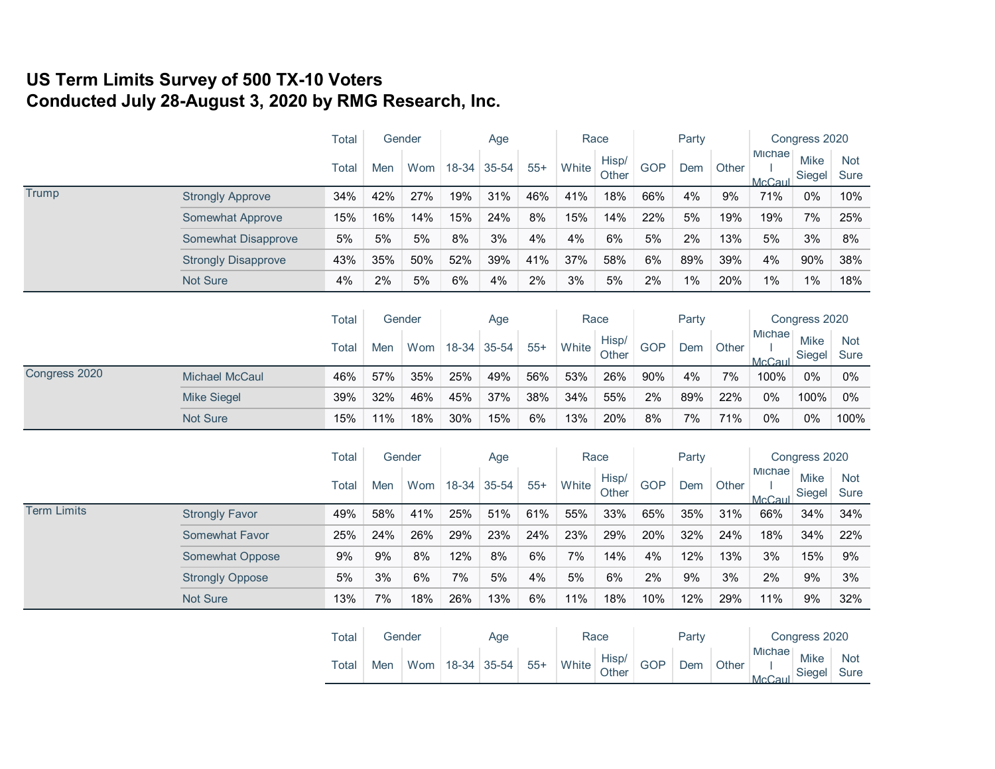## **US Term Limits Survey of 500 TX-10 Voters Conducted July 28-August 3, 2020 by RMG Research, Inc.**

|                    |                            | <b>Total</b> | Gender |        | Age   |       |       |       | Race           | Party      |     |               | Congress 2020           |                       |                           |
|--------------------|----------------------------|--------------|--------|--------|-------|-------|-------|-------|----------------|------------|-----|---------------|-------------------------|-----------------------|---------------------------|
|                    |                            | <b>Total</b> | Men    | Wom    | 18-34 | 35-54 | $55+$ | White | Hisp/<br>Other | <b>GOP</b> | Dem | Other         | Michae<br>McCaul        | <b>Mike</b><br>Siegel | <b>Not</b><br><b>Sure</b> |
| Trump              | <b>Strongly Approve</b>    | 34%          | 42%    | 27%    | 19%   | 31%   | 46%   | 41%   | 18%            | 66%        | 4%  | 9%            | 71%                     | $0\%$                 | 10%                       |
|                    | <b>Somewhat Approve</b>    | 15%          | 16%    | 14%    | 15%   | 24%   | 8%    | 15%   | 14%            | 22%        | 5%  | 19%           | 19%                     | 7%                    | 25%                       |
|                    | Somewhat Disapprove        | 5%           | 5%     | 5%     | 8%    | 3%    | 4%    | 4%    | 6%             | 5%         | 2%  | 13%           | 5%                      | 3%                    | 8%                        |
|                    | <b>Strongly Disapprove</b> | 43%          | 35%    | 50%    | 52%   | 39%   | 41%   | 37%   | 58%            | 6%         | 89% | 39%           | 4%                      | 90%                   | 38%                       |
|                    | <b>Not Sure</b>            | 4%           | 2%     | 5%     | 6%    | 4%    | 2%    | 3%    | 5%             | 2%         | 1%  | 20%           | 1%                      | $1\%$                 | 18%                       |
|                    |                            | Total        | Gender |        | Age   |       |       | Race  |                | Party      |     | Congress 2020 |                         |                       |                           |
|                    |                            | Total        | Men    | Wom    | 18-34 | 35-54 | $55+$ | White | Hisp/<br>Other | <b>GOP</b> | Dem | Other         | <b>Michae</b><br>McCaul | Mike<br>Siegel        | Not<br>Sure               |
| Congress 2020      | <b>Michael McCaul</b>      | 46%          | 57%    | 35%    | 25%   | 49%   | 56%   | 53%   | 26%            | 90%        | 4%  | 7%            | 100%                    | 0%                    | $0\%$                     |
|                    | <b>Mike Siegel</b>         | 39%          | 32%    | 46%    | 45%   | 37%   | 38%   | 34%   | 55%            | 2%         | 89% | 22%           | 0%                      | 100%                  | 0%                        |
|                    | Not Sure                   | 15%          | 11%    | 18%    | 30%   | 15%   | 6%    | 13%   | 20%            | 8%         | 7%  | 71%           | 0%                      | $0\%$                 | 100%                      |
|                    |                            | Total        | Gender |        |       | Age   |       | Race  |                | Party      |     |               | Congress 2020           |                       |                           |
|                    |                            | <b>Total</b> | Men    | Wom    | 18-34 | 35-54 | $55+$ | White | Hisp/<br>Other | <b>GOP</b> | Dem | Other         | Michae<br>McCaul        | Mike<br>Siegel        | <b>Not</b><br>Sure        |
| <b>Term Limits</b> | <b>Strongly Favor</b>      | 49%          | 58%    | 41%    | 25%   | 51%   | 61%   | 55%   | 33%            | 65%        | 35% | 31%           | 66%                     | 34%                   | 34%                       |
|                    | <b>Somewhat Favor</b>      | 25%          | 24%    | 26%    | 29%   | 23%   | 24%   | 23%   | 29%            | 20%        | 32% | 24%           | 18%                     | 34%                   | 22%                       |
|                    | Somewhat Oppose            | 9%           | 9%     | 8%     | 12%   | 8%    | 6%    | 7%    | 14%            | 4%         | 12% | 13%           | 3%                      | 15%                   | 9%                        |
|                    | <b>Strongly Oppose</b>     | 5%           | 3%     | 6%     | 7%    | 5%    | 4%    | 5%    | 6%             | 2%         | 9%  | 3%            | 2%                      | 9%                    | 3%                        |
|                    | <b>Not Sure</b>            | 13%          | 7%     | 18%    | 26%   | 13%   | 6%    | 11%   | 18%            | 10%        | 12% | 29%           | 11%                     | 9%                    | 32%                       |
|                    |                            | Total        |        | Gender |       | Age   |       | Race  |                | Party      |     |               | Congress 2020           |                       |                           |
|                    |                            | Total        | Men    | Wom    | 18-34 | 35-54 | $55+$ | White | Hisp/<br>Other | <b>GOP</b> | Dem | Other         | <b>Michae</b><br>McCaul | <b>Mike</b><br>Siegel | <b>Not</b><br><b>Sure</b> |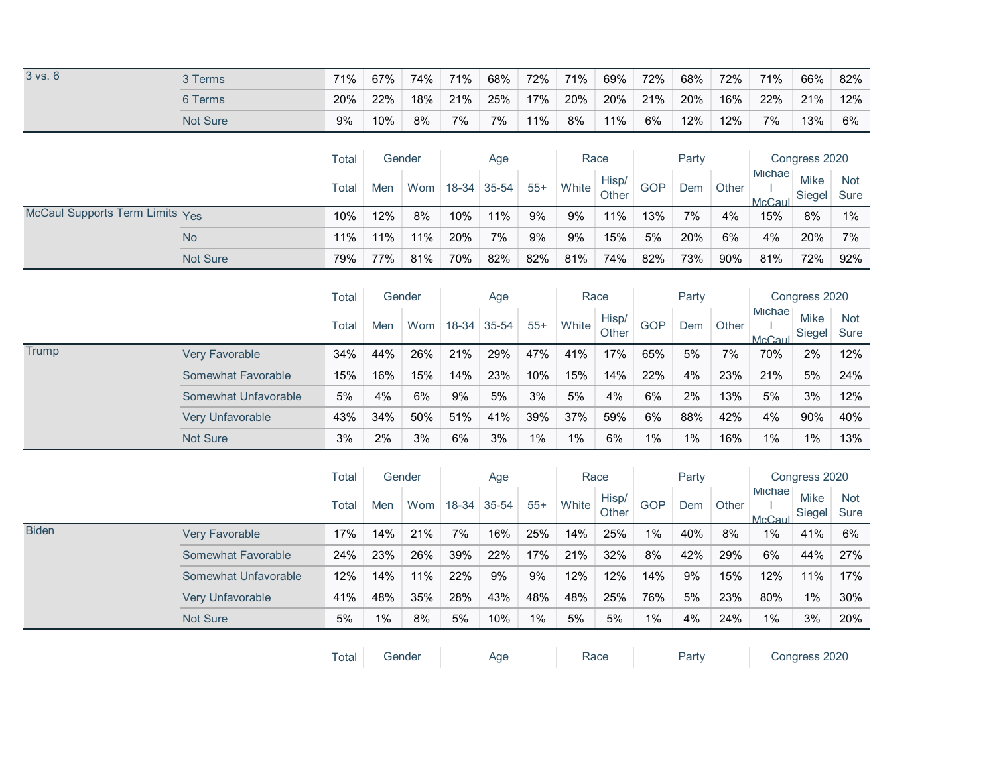| $3$ vs. $6$                     | 3 Terms               | 71%          | 67%    | 74%    | 71%   | 68%   | 72%   | 71%   | 69%            | 72%        | 68%           | 72%   | 71%              | 66%                   | 82%                       |
|---------------------------------|-----------------------|--------------|--------|--------|-------|-------|-------|-------|----------------|------------|---------------|-------|------------------|-----------------------|---------------------------|
|                                 | 6 Terms               | 20%          | 22%    | 18%    | 21%   | 25%   | 17%   | 20%   | 20%            | 21%        | 20%           | 16%   | 22%              | 21%                   | 12%                       |
|                                 | Not Sure              | 9%           | 10%    | 8%     | 7%    | 7%    | 11%   | 8%    | 11%            | 6%         | 12%           | 12%   | 7%               | 13%                   | 6%                        |
|                                 |                       | Total        | Gender |        |       | Age   |       | Race  |                |            | Party         |       |                  | Congress 2020         |                           |
|                                 |                       | Total        | Men    | Wom    | 18-34 | 35-54 | $55+$ | White | Hisp/<br>Other | <b>GOP</b> | Dem           | Other | Michae<br>McCaul | Mike<br>Siegel        | <b>Not</b><br><b>Sure</b> |
| McCaul Supports Term Limits Yes |                       | 10%          | 12%    | 8%     | 10%   | 11%   | 9%    | 9%    | 11%            | 13%        | 7%            | 4%    | 15%              | 8%                    | 1%                        |
|                                 | <b>No</b>             | 11%          | 11%    | 11%    | 20%   | 7%    | 9%    | 9%    | 15%            | 5%         | 20%           | 6%    | 4%               | 20%                   | 7%                        |
|                                 | Not Sure              | 79%          | 77%    | 81%    | 70%   | 82%   | 82%   | 81%   | 74%            | 82%        | 73%           | 90%   | 81%              | 72%                   | 92%                       |
|                                 |                       | Total        |        | Gender |       | Age   |       |       | Race           |            | Party         |       |                  | Congress 2020         |                           |
|                                 |                       | <b>Total</b> | Men    | Wom    | 18-34 | 35-54 | $55+$ | White | Hisp/<br>Other | <b>GOP</b> | Dem           | Other | Michae<br>McCaul | Mike<br>Siegel        | <b>Not</b><br>Sure        |
| Trump                           | <b>Very Favorable</b> | 34%          | 44%    | 26%    | 21%   | 29%   | 47%   | 41%   | 17%            | 65%        | 5%            | 7%    | 70%              | 2%                    | 12%                       |
|                                 | Somewhat Favorable    | 15%          | 16%    | 15%    | 14%   | 23%   | 10%   | 15%   | 14%            | 22%        | 4%            | 23%   | 21%              | 5%                    | 24%                       |
|                                 | Somewhat Unfavorable  | 5%           | 4%     | 6%     | 9%    | 5%    | 3%    | 5%    | 4%             | 6%         | 2%            | 13%   | 5%               | 3%                    | 12%                       |
|                                 | Very Unfavorable      | 43%          | 34%    | 50%    | 51%   | 41%   | 39%   | 37%   | 59%            | 6%         | 88%           | 42%   | 4%               | 90%                   | 40%                       |
|                                 | Not Sure              | 3%           | 2%     | 3%     | 6%    | 3%    | 1%    | 1%    | 6%             | 1%         | 1%            | 16%   | 1%               | 1%                    | 13%                       |
|                                 |                       | Total        |        | Gender | Age   |       | Race  |       | Party          |            | Congress 2020 |       |                  |                       |                           |
|                                 |                       | Total        | Men    | Wom    | 18-34 | 35-54 | $55+$ | White | Hisp/<br>Other | <b>GOP</b> | Dem           | Other | Michae<br>McCaul | <b>Mike</b><br>Siegel | <b>Not</b><br>Sure        |
| <b>Biden</b>                    | <b>Very Favorable</b> | 17%          | 14%    | 21%    | 7%    | 16%   | 25%   | 14%   | 25%            | $1\%$      | 40%           | 8%    | 1%               | 41%                   | 6%                        |
|                                 | Somewhat Favorable    | 24%          | 23%    | 26%    | 39%   | 22%   | 17%   | 21%   | 32%            | 8%         | 42%           | 29%   | 6%               | 44%                   | 27%                       |
|                                 | Somewhat Unfavorable  | 12%          | 14%    | 11%    | 22%   | 9%    | 9%    | 12%   | 12%            | 14%        | 9%            | 15%   | 12%              | 11%                   | 17%                       |
|                                 | Very Unfavorable      | 41%          | 48%    | 35%    | 28%   | 43%   | 48%   | 48%   | 25%            | 76%        | 5%            | 23%   | 80%              | 1%                    | 30%                       |
|                                 | Not Sure              | 5%           | 1%     | 8%     | 5%    | 10%   | $1\%$ | 5%    | 5%             | 1%         | 4%            | 24%   | 1%               | 3%                    | 20%                       |
|                                 |                       | Total        | Gender |        |       | Age   |       | Race  |                |            | Party         |       | Congress 2020    |                       |                           |